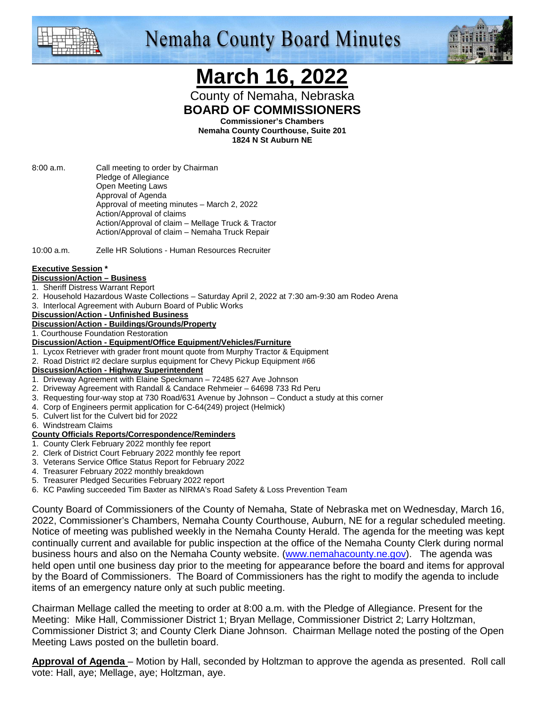

# **Nemaha County Board Minutes**



# **March 16, 2022**

County of Nemaha, Nebraska **BOARD OF COMMISSIONERS** 

**Commissioner's Chambers** 

**Nemaha County Courthouse, Suite 201 1824 N St Auburn NE** 

8:00 a.m. Call meeting to order by Chairman Pledge of Allegiance Open Meeting Laws Approval of Agenda Approval of meeting minutes – March 2, 2022 Action/Approval of claims Action/Approval of claim – Mellage Truck & Tractor Action/Approval of claim – Nemaha Truck Repair

10:00 a.m. Zelle HR Solutions - Human Resources Recruiter

#### **Executive Session \***

- **Discussion/Action Business**
- 1. Sheriff Distress Warrant Report
- 2. Household Hazardous Waste Collections Saturday April 2, 2022 at 7:30 am-9:30 am Rodeo Arena
- 3. Interlocal Agreement with Auburn Board of Public Works

#### **Discussion/Action - Unfinished Business**

**Discussion/Action - Buildings/Grounds/Property**

1. Courthouse Foundation Restoration

- **Discussion/Action Equipment/Office Equipment/Vehicles/Furniture**
- 1. Lycox Retriever with grader front mount quote from Murphy Tractor & Equipment
- 2. Road District #2 declare surplus equipment for Chevy Pickup Equipment #66

#### **Discussion/Action - Highway Superintendent**

- 1. Driveway Agreement with Elaine Speckmann 72485 627 Ave Johnson
- 2. Driveway Agreement with Randall & Candace Rehmeier 64698 733 Rd Peru
- 3. Requesting four-way stop at 730 Road/631 Avenue by Johnson Conduct a study at this corner
- 4. Corp of Engineers permit application for C-64(249) project (Helmick)
- 5. Culvert list for the Culvert bid for 2022

6. Windstream Claims

#### **County Officials Reports/Correspondence/Reminders**

- 1. County Clerk February 2022 monthly fee report
- 2. Clerk of District Court February 2022 monthly fee report
- 3. Veterans Service Office Status Report for February 2022
- 4. Treasurer February 2022 monthly breakdown
- 5. Treasurer Pledged Securities February 2022 report
- 6. KC Pawling succeeded Tim Baxter as NIRMA's Road Safety & Loss Prevention Team

County Board of Commissioners of the County of Nemaha, State of Nebraska met on Wednesday, March 16, 2022, Commissioner's Chambers, Nemaha County Courthouse, Auburn, NE for a regular scheduled meeting. Notice of meeting was published weekly in the Nemaha County Herald. The agenda for the meeting was kept continually current and available for public inspection at the office of the Nemaha County Clerk during normal business hours and also on the Nemaha County website. (www.nemahacounty.ne.gov). The agenda was held open until one business day prior to the meeting for appearance before the board and items for approval by the Board of Commissioners. The Board of Commissioners has the right to modify the agenda to include items of an emergency nature only at such public meeting.

Chairman Mellage called the meeting to order at 8:00 a.m. with the Pledge of Allegiance. Present for the Meeting: Mike Hall, Commissioner District 1; Bryan Mellage, Commissioner District 2; Larry Holtzman, Commissioner District 3; and County Clerk Diane Johnson. Chairman Mellage noted the posting of the Open Meeting Laws posted on the bulletin board.

**Approval of Agenda** – Motion by Hall, seconded by Holtzman to approve the agenda as presented. Roll call vote: Hall, aye; Mellage, aye; Holtzman, aye.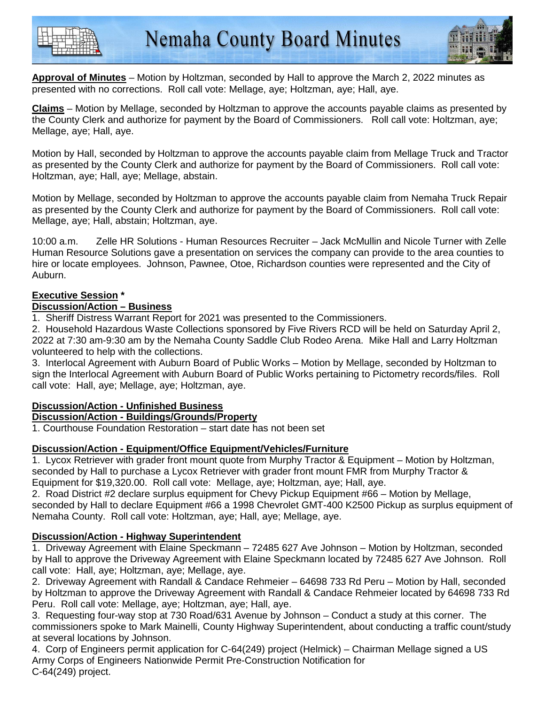



**Approval of Minutes** – Motion by Holtzman, seconded by Hall to approve the March 2, 2022 minutes as presented with no corrections. Roll call vote: Mellage, aye; Holtzman, aye; Hall, aye.

**Claims** – Motion by Mellage, seconded by Holtzman to approve the accounts payable claims as presented by the County Clerk and authorize for payment by the Board of Commissioners. Roll call vote: Holtzman, aye; Mellage, aye; Hall, aye.

Motion by Hall, seconded by Holtzman to approve the accounts payable claim from Mellage Truck and Tractor as presented by the County Clerk and authorize for payment by the Board of Commissioners. Roll call vote: Holtzman, aye; Hall, aye; Mellage, abstain.

Motion by Mellage, seconded by Holtzman to approve the accounts payable claim from Nemaha Truck Repair as presented by the County Clerk and authorize for payment by the Board of Commissioners. Roll call vote: Mellage, aye; Hall, abstain; Holtzman, aye.

10:00 a.m. Zelle HR Solutions - Human Resources Recruiter – Jack McMullin and Nicole Turner with Zelle Human Resource Solutions gave a presentation on services the company can provide to the area counties to hire or locate employees. Johnson, Pawnee, Otoe, Richardson counties were represented and the City of Auburn.

### **Executive Session \***

### **Discussion/Action – Business**

1. Sheriff Distress Warrant Report for 2021 was presented to the Commissioners.

2. Household Hazardous Waste Collections sponsored by Five Rivers RCD will be held on Saturday April 2, 2022 at 7:30 am-9:30 am by the Nemaha County Saddle Club Rodeo Arena. Mike Hall and Larry Holtzman volunteered to help with the collections.

3. Interlocal Agreement with Auburn Board of Public Works – Motion by Mellage, seconded by Holtzman to sign the Interlocal Agreement with Auburn Board of Public Works pertaining to Pictometry records/files. Roll call vote: Hall, aye; Mellage, aye; Holtzman, aye.

## **Discussion/Action - Unfinished Business**

#### **Discussion/Action - Buildings/Grounds/Property**

1. Courthouse Foundation Restoration – start date has not been set

#### **Discussion/Action - Equipment/Office Equipment/Vehicles/Furniture**

1. Lycox Retriever with grader front mount quote from Murphy Tractor & Equipment – Motion by Holtzman, seconded by Hall to purchase a Lycox Retriever with grader front mount FMR from Murphy Tractor & Equipment for \$19,320.00. Roll call vote: Mellage, aye; Holtzman, aye; Hall, aye.

2. Road District #2 declare surplus equipment for Chevy Pickup Equipment #66 – Motion by Mellage, seconded by Hall to declare Equipment #66 a 1998 Chevrolet GMT-400 K2500 Pickup as surplus equipment of Nemaha County. Roll call vote: Holtzman, aye; Hall, aye; Mellage, aye.

## **Discussion/Action - Highway Superintendent**

1. Driveway Agreement with Elaine Speckmann – 72485 627 Ave Johnson – Motion by Holtzman, seconded by Hall to approve the Driveway Agreement with Elaine Speckmann located by 72485 627 Ave Johnson. Roll call vote: Hall, aye; Holtzman, aye; Mellage, aye.

2. Driveway Agreement with Randall & Candace Rehmeier – 64698 733 Rd Peru – Motion by Hall, seconded by Holtzman to approve the Driveway Agreement with Randall & Candace Rehmeier located by 64698 733 Rd Peru. Roll call vote: Mellage, aye; Holtzman, aye; Hall, aye.

3. Requesting four-way stop at 730 Road/631 Avenue by Johnson – Conduct a study at this corner. The commissioners spoke to Mark Mainelli, County Highway Superintendent, about conducting a traffic count/study at several locations by Johnson.

4. Corp of Engineers permit application for C-64(249) project (Helmick) – Chairman Mellage signed a US Army Corps of Engineers Nationwide Permit Pre-Construction Notification for C-64(249) project.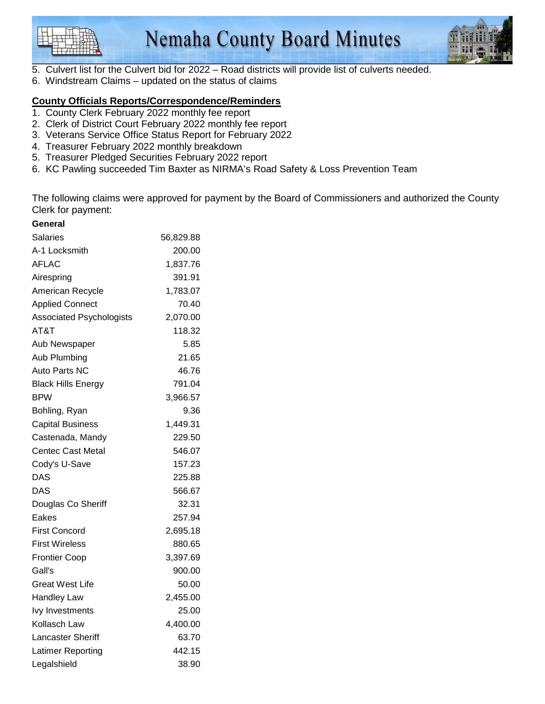



- 5. Culvert list for the Culvert bid for 2022 Road districts will provide list of culverts needed.
- 6. Windstream Claims updated on the status of claims

### **County Officials Reports/Correspondence/Reminders**

- 1. County Clerk February 2022 monthly fee report
- 2. Clerk of District Court February 2022 monthly fee report
- 3. Veterans Service Office Status Report for February 2022
- 4. Treasurer February 2022 monthly breakdown
- 5. Treasurer Pledged Securities February 2022 report
- 6. KC Pawling succeeded Tim Baxter as NIRMA's Road Safety & Loss Prevention Team

The following claims were approved for payment by the Board of Commissioners and authorized the County Clerk for payment:

| General                         |           |
|---------------------------------|-----------|
| Salaries                        | 56,829.88 |
| A-1 Locksmith                   | 200.00    |
| AFLAC                           | 1,837.76  |
| Airespring                      | 391.91    |
| American Recycle                | 1,783.07  |
| <b>Applied Connect</b>          | 70.40     |
| <b>Associated Psychologists</b> | 2,070.00  |
| AT&T                            | 118.32    |
| Aub Newspaper                   | 5.85      |
| Aub Plumbing                    | 21.65     |
| Auto Parts NC                   | 46.76     |
| <b>Black Hills Energy</b>       | 791.04    |
| <b>BPW</b>                      | 3,966.57  |
| Bohling, Ryan                   | 9.36      |
| <b>Capital Business</b>         | 1,449.31  |
| Castenada, Mandy                | 229.50    |
| Centec Cast Metal               | 546.07    |
| Cody's U-Save                   | 157.23    |
| <b>DAS</b>                      | 225.88    |
| DAS                             | 566.67    |
| Douglas Co Sheriff              | 32.31     |
| Eakes                           | 257.94    |
| <b>First Concord</b>            | 2,695.18  |
| <b>First Wireless</b>           | 880.65    |
| <b>Frontier Coop</b>            | 3,397.69  |
| Gall's                          | 900.00    |
| <b>Great West Life</b>          | 50.00     |
| Handley Law                     | 2,455.00  |
| <b>lvy Investments</b>          | 25.00     |
| Kollasch Law                    | 4,400.00  |
| Lancaster Sheriff               | 63.70     |
| Latimer Reporting               | 442.15    |
| Legalshield                     | 38.90     |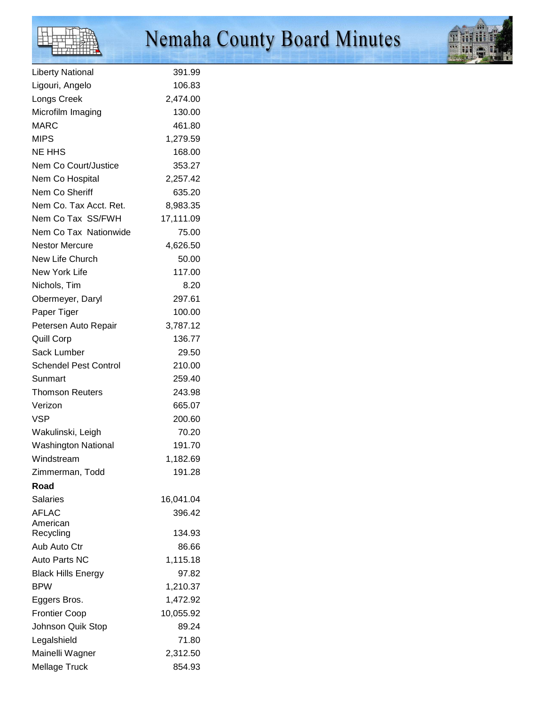# H

# Nemaha County Board Minutes



| <b>Liberty National</b>      | 391.99    |
|------------------------------|-----------|
| Ligouri, Angelo              | 106.83    |
| Longs Creek                  | 2,474.00  |
| Microfilm Imaging            | 130.00    |
| MARC                         | 461.80    |
| <b>MIPS</b>                  | 1,279.59  |
| NE HHS                       | 168.00    |
| Nem Co Court/Justice         | 353.27    |
| Nem Co Hospital              | 2,257.42  |
| Nem Co Sheriff               | 635.20    |
| Nem Co. Tax Acct. Ret.       | 8,983.35  |
| Nem Co Tax SS/FWH            | 17,111.09 |
| Nem Co Tax Nationwide        | 75.00     |
| Nestor Mercure               | 4,626.50  |
| New Life Church              | 50.00     |
| New York Life                | 117.00    |
| Nichols, Tim                 | 8.20      |
| Obermeyer, Daryl             | 297.61    |
| Paper Tiger                  | 100.00    |
| Petersen Auto Repair         | 3,787.12  |
| Quill Corp                   | 136.77    |
| Sack Lumber                  | 29.50     |
| <b>Schendel Pest Control</b> | 210.00    |
| Sunmart                      | 259.40    |
| <b>Thomson Reuters</b>       | 243.98    |
| Verizon                      | 665.07    |
| VSP                          | 200.60    |
| Wakulinski, Leigh            | 70.20     |
| <b>Washington National</b>   | 191.70    |
| Windstream                   | 1,182.69  |
| Zimmerman, Todd              | 191.28    |
| Road                         |           |
| <b>Salaries</b>              | 16,041.04 |
| <b>AFLAC</b>                 | 396.42    |
| American                     |           |
| Recycling                    | 134.93    |
| Aub Auto Ctr                 | 86.66     |
| Auto Parts NC                | 1,115.18  |
| <b>Black Hills Energy</b>    | 97.82     |
| BPW                          | 1,210.37  |
| Eggers Bros.                 | 1,472.92  |
| <b>Frontier Coop</b>         | 10,055.92 |
| Johnson Quik Stop            | 89.24     |
| Legalshield                  | 71.80     |
| Mainelli Wagner              | 2,312.50  |
| Mellage Truck                | 854.93    |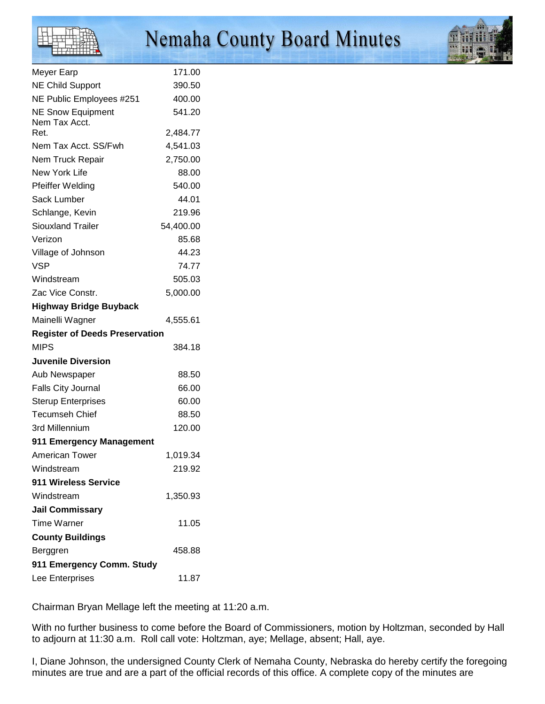

| Meyer Earp                                           | 171.00    |
|------------------------------------------------------|-----------|
| <b>NE Child Support</b>                              | 390.50    |
| NE Public Employees #251                             | 400.00    |
| <b>NE Snow Equipment</b>                             | 541.20    |
| Nem Tax Acct.<br>Ret.                                | 2,484.77  |
| Nem Tax Acct. SS/Fwh                                 | 4,541.03  |
| Nem Truck Repair                                     | 2,750.00  |
| New York Life                                        | 88.00     |
| Pfeiffer Welding                                     | 540.00    |
| Sack Lumber                                          | 44.01     |
| Schlange, Kevin                                      | 219.96    |
| <b>Siouxland Trailer</b>                             | 54,400.00 |
| Verizon                                              | 85.68     |
| Village of Johnson                                   | 44.23     |
| VSP                                                  | 74.77     |
| Windstream                                           | 505.03    |
| Zac Vice Constr.                                     | 5,000.00  |
|                                                      |           |
| <b>Highway Bridge Buyback</b>                        |           |
| Mainelli Wagner                                      | 4,555.61  |
| <b>Register of Deeds Preservation</b><br><b>MIPS</b> | 384.18    |
| <b>Juvenile Diversion</b>                            |           |
| Aub Newspaper                                        | 88.50     |
| <b>Falls City Journal</b>                            | 66.00     |
| <b>Sterup Enterprises</b>                            | 60.00     |
| <b>Tecumseh Chief</b>                                | 88.50     |
| 3rd Millennium                                       | 120.00    |
| 911 Emergency Management                             |           |
| American Tower                                       | 1,019.34  |
| Windstream                                           | 219.92    |
| 911 Wireless Service                                 |           |
| Windstream                                           | 1,350.93  |
| <b>Jail Commissary</b>                               |           |
| <b>Time Warner</b>                                   | 11.05     |
| <b>County Buildings</b>                              |           |
| Berggren                                             | 458.88    |
| 911 Emergency Comm. Study                            |           |
| Lee Enterprises                                      | 11.87     |
|                                                      |           |

Chairman Bryan Mellage left the meeting at 11:20 a.m.

With no further business to come before the Board of Commissioners, motion by Holtzman, seconded by Hall to adjourn at 11:30 a.m. Roll call vote: Holtzman, aye; Mellage, absent; Hall, aye.

I, Diane Johnson, the undersigned County Clerk of Nemaha County, Nebraska do hereby certify the foregoing minutes are true and are a part of the official records of this office. A complete copy of the minutes are